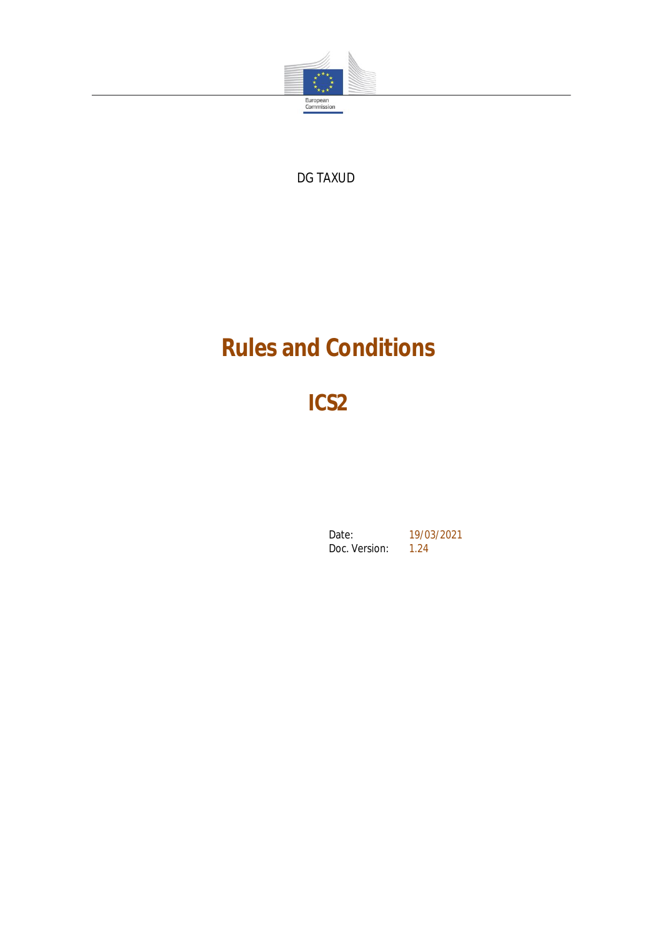

DG TAXUD

# **Rules and Conditions**

**ICS2**

Date: 19/03/2021<br>Doc. Version: 1.24 Doc. Version: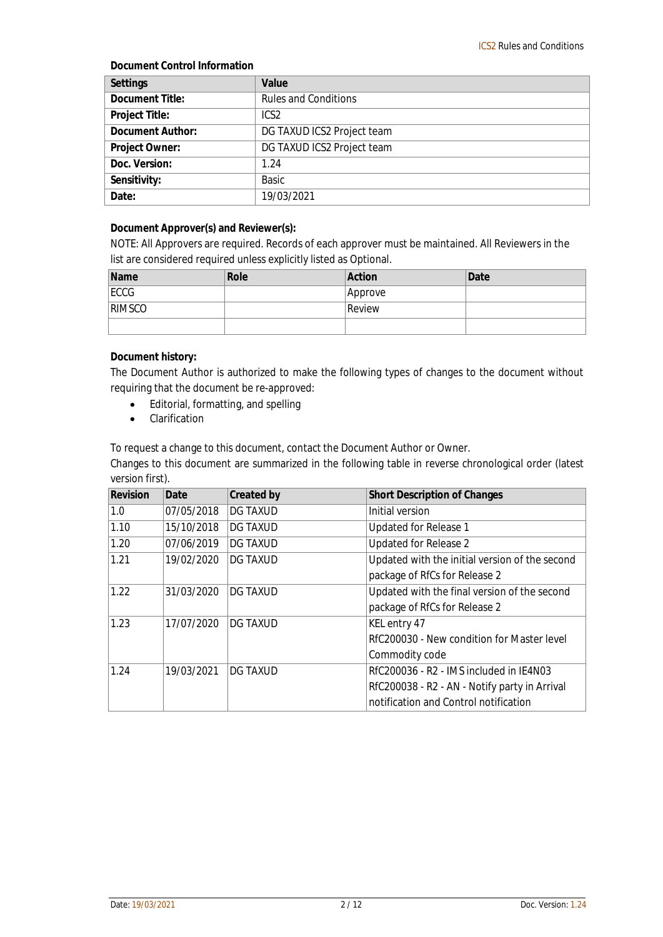**Document Control Information**

| Settings         | Value                       |
|------------------|-----------------------------|
| Document Title:  | <b>Rules and Conditions</b> |
| Project Title:   | ICS <sub>2</sub>            |
| Document Author: | DG TAXUD ICS2 Project team  |
| Project Owner:   | DG TAXUD ICS2 Project team  |
| Doc. Version:    | 1.24                        |
| Sensitivity:     | <b>Basic</b>                |
| Date:            | 19/03/2021                  |

**Document Approver(s) and Reviewer(s):**

NOTE: All Approvers are required. Records of each approver must be maintained. All Reviewers in the list are considered required unless explicitly listed as Optional.

| Name          | Role | Action  | Date |
|---------------|------|---------|------|
| ECCG          |      | Approve |      |
| <b>RIMSCO</b> |      | Review  |      |
|               |      |         |      |

**Document history:**

The Document Author is authorized to make the following types of changes to the document without requiring that the document be re-approved:

- Editorial, formatting, and spelling
- **•** Clarification

To request a change to this document, contact the Document Author or Owner.

Changes to this document are summarized in the following table in reverse chronological order (latest version first).

| Revision | Date       | <b>Created by</b> | <b>Short Description of Changes</b>            |
|----------|------------|-------------------|------------------------------------------------|
| 1.0      | 07/05/2018 | <b>DG TAXUD</b>   | Initial version                                |
| 1.10     | 15/10/2018 | <b>DG TAXUD</b>   | Updated for Release 1                          |
| 1.20     | 07/06/2019 | DG TAXUD          | Updated for Release 2                          |
| 1.21     | 19/02/2020 | DG TAXUD          | Updated with the initial version of the second |
|          |            |                   | package of RfCs for Release 2                  |
| 1.22     | 31/03/2020 | <b>DG TAXUD</b>   | Updated with the final version of the second   |
|          |            |                   | package of RfCs for Release 2                  |
| 1.23     | 17/07/2020 | <b>DG TAXUD</b>   | KEL entry 47                                   |
|          |            |                   | RfC200030 - New condition for Master level     |
|          |            |                   | Commodity code                                 |
| 1.24     | 19/03/2021 | <b>DG TAXUD</b>   | RfC200036 - R2 - IMS included in IE4N03        |
|          |            |                   | RfC200038 - R2 - AN - Notify party in Arrival  |
|          |            |                   | notification and Control notification          |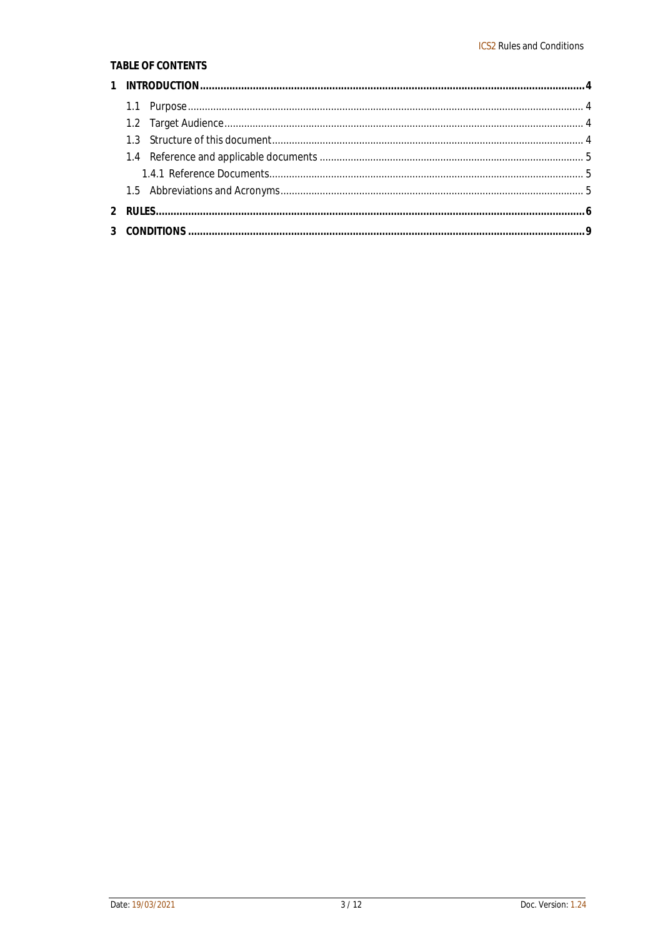#### TABLE OF CONTENTS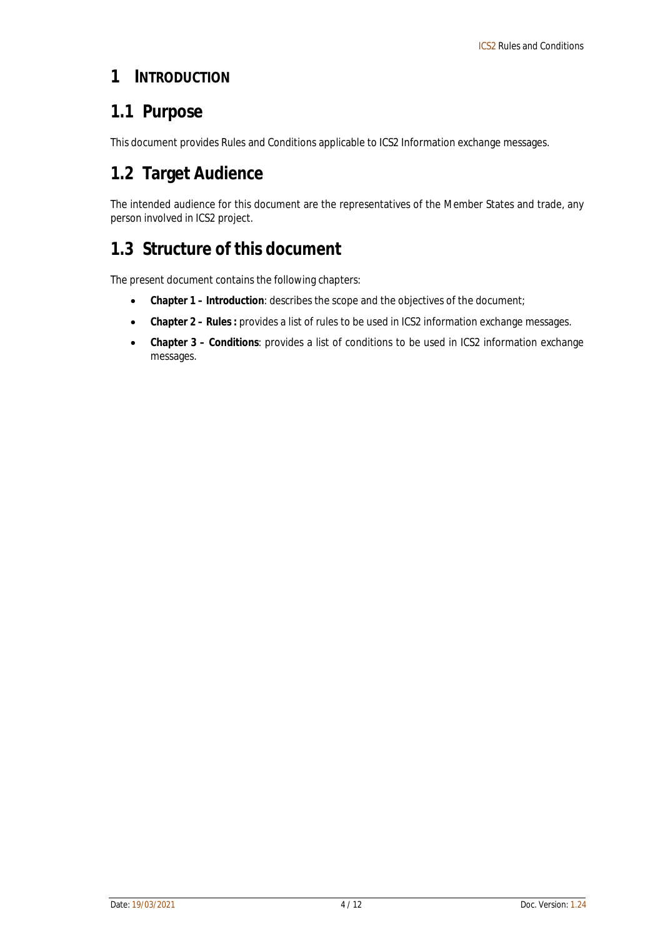#### **1 INTRODUCTION**

### **1.1 Purpose**

This document provides Rules and Conditions applicable to ICS2 Information exchange messages.

### **1.2 Target Audience**

The intended audience for this document are the representatives of the Member States and trade, any person involved in ICS2 project.

### **1.3 Structure of this document**

The present document contains the following chapters:

- **Chapter 1 – Introduction**: describes the scope and the objectives of the document;
- **Chapter 2 – Rules :** provides a list of rules to be used in ICS2 information exchange messages.
- **Chapter 3 – Conditions**: provides a list of conditions to be used in ICS2 information exchange messages.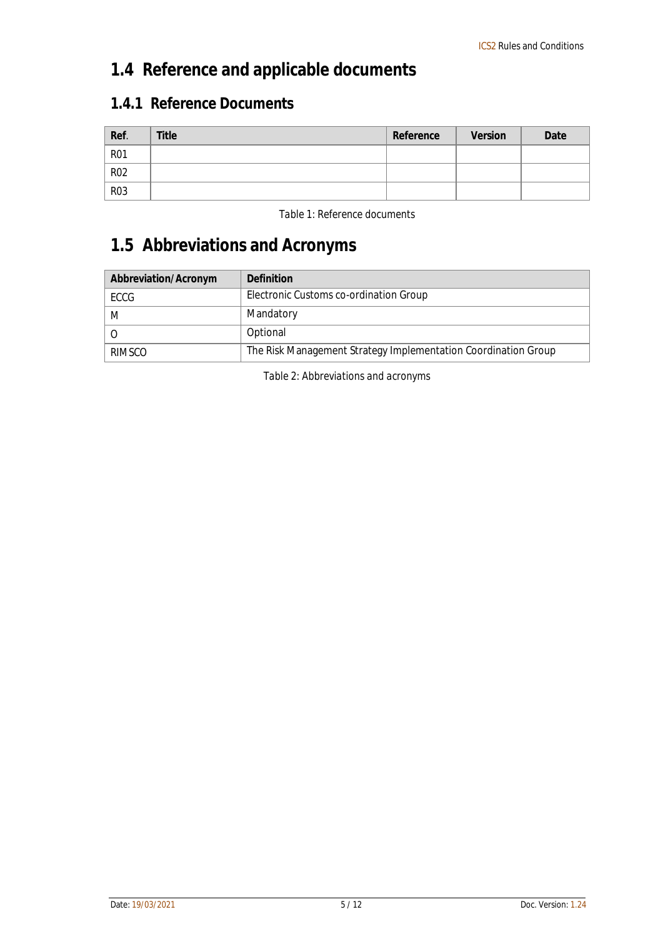### **1.4 Reference and applicable documents**

#### **1.4.1 Reference Documents**

| Ref.       | Title | Reference | Version | Date |
|------------|-------|-----------|---------|------|
| <b>R01</b> |       |           |         |      |
| <b>R02</b> |       |           |         |      |
| <b>R03</b> |       |           |         |      |

*Table 1: Reference documents*

## **1.5 Abbreviations and Acronyms**

| Abbreviation/Acronym | Definition                                                     |
|----------------------|----------------------------------------------------------------|
| ECCG                 | Electronic Customs co-ordination Group                         |
| M                    | Mandatory                                                      |
|                      | Optional                                                       |
| RIMSCO               | The Risk Management Strategy Implementation Coordination Group |

*Table 2: Abbreviations and acronyms*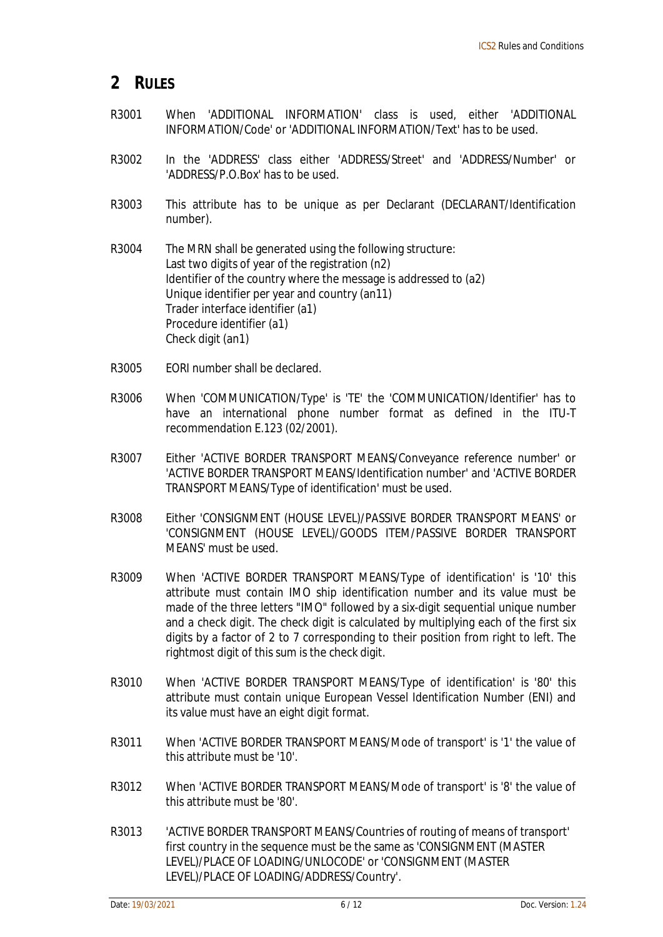#### **2 RULES**

- R3001 When 'ADDITIONAL INFORMATION' class is used, either 'ADDITIONAL INFORMATION/Code' or 'ADDITIONAL INFORMATION/Text' has to be used.
- R3002 In the 'ADDRESS' class either 'ADDRESS/Street' and 'ADDRESS/Number' or 'ADDRESS/P.O.Box' has to be used.
- R3003 This attribute has to be unique as per Declarant (DECLARANT/Identification number).
- R3004 The MRN shall be generated using the following structure: Last two digits of year of the registration (n2) Identifier of the country where the message is addressed to (a2) Unique identifier per year and country (an11) Trader interface identifier (a1) Procedure identifier (a1) Check digit (an1)
- R3005 EORI number shall be declared.
- R3006 When 'COMMUNICATION/Type' is 'TE' the 'COMMUNICATION/Identifier' has to have an international phone number format as defined in the ITU-T recommendation E.123 (02/2001).
- R3007 Either 'ACTIVE BORDER TRANSPORT MEANS/Conveyance reference number' or 'ACTIVE BORDER TRANSPORT MEANS/Identification number' and 'ACTIVE BORDER TRANSPORT MEANS/Type of identification' must be used.
- R3008 Either 'CONSIGNMENT (HOUSE LEVEL)/PASSIVE BORDER TRANSPORT MEANS' or 'CONSIGNMENT (HOUSE LEVEL)/GOODS ITEM/PASSIVE BORDER TRANSPORT MEANS' must be used.
- R3009 When 'ACTIVE BORDER TRANSPORT MEANS/Type of identification' is '10' this attribute must contain IMO ship identification number and its value must be made of the three letters "IMO" followed by a six-digit sequential unique number and a check digit. The check digit is calculated by multiplying each of the first six digits by a factor of 2 to 7 corresponding to their position from right to left. The rightmost digit of this sum is the check digit.
- R3010 When 'ACTIVE BORDER TRANSPORT MEANS/Type of identification' is '80' this attribute must contain unique European Vessel Identification Number (ENI) and its value must have an eight digit format.
- R3011 When 'ACTIVE BORDER TRANSPORT MEANS/Mode of transport' is '1' the value of this attribute must be '10'.
- R3012 When 'ACTIVE BORDER TRANSPORT MEANS/Mode of transport' is '8' the value of this attribute must be '80'.
- R3013 'ACTIVE BORDER TRANSPORT MEANS/Countries of routing of means of transport' first country in the sequence must be the same as 'CONSIGNMENT (MASTER LEVEL)/PLACE OF LOADING/UNLOCODE' or 'CONSIGNMENT (MASTER LEVEL)/PLACE OF LOADING/ADDRESS/Country'.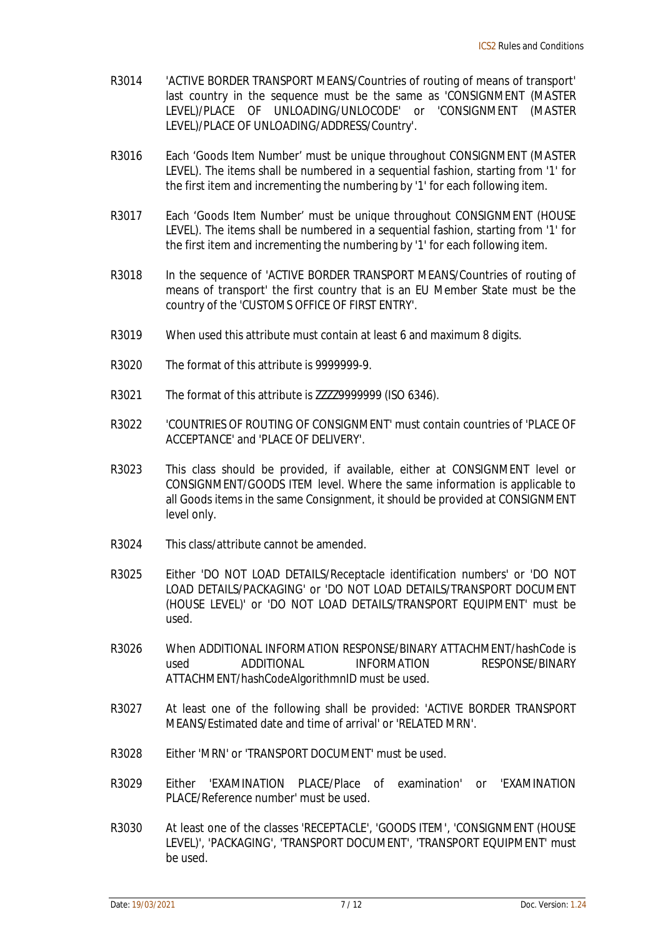- R3014 'ACTIVE BORDER TRANSPORT MEANS/Countries of routing of means of transport' last country in the sequence must be the same as 'CONSIGNMENT (MASTER LEVEL)/PLACE OF UNLOADING/UNLOCODE' or 'CONSIGNMENT (MASTER LEVEL)/PLACE OF UNLOADING/ADDRESS/Country'.
- R3016 Each 'Goods Item Number' must be unique throughout CONSIGNMENT (MASTER LEVEL). The items shall be numbered in a sequential fashion, starting from '1' for the first item and incrementing the numbering by '1' for each following item.
- R3017 Each 'Goods Item Number' must be unique throughout CONSIGNMENT (HOUSE LEVEL). The items shall be numbered in a sequential fashion, starting from '1' for the first item and incrementing the numbering by '1' for each following item.
- R3018 In the sequence of 'ACTIVE BORDER TRANSPORT MEANS/Countries of routing of means of transport' the first country that is an EU Member State must be the country of the 'CUSTOMS OFFICE OF FIRST ENTRY'.
- R3019 When used this attribute must contain at least 6 and maximum 8 digits.
- R3020 The format of this attribute is 9999999-9.
- R3021 The format of this attribute is ZZZZ9999999 (ISO 6346).
- R3022 'COUNTRIES OF ROUTING OF CONSIGNMENT' must contain countries of 'PLACE OF ACCEPTANCE' and 'PLACE OF DELIVERY'.
- R3023 This class should be provided, if available, either at CONSIGNMENT level or CONSIGNMENT/GOODS ITEM level. Where the same information is applicable to all Goods items in the same Consignment, it should be provided at CONSIGNMENT level only.
- R3024 This class/attribute cannot be amended.
- R3025 Either 'DO NOT LOAD DETAILS/Receptacle identification numbers' or 'DO NOT LOAD DETAILS/PACKAGING' or 'DO NOT LOAD DETAILS/TRANSPORT DOCUMENT (HOUSE LEVEL)' or 'DO NOT LOAD DETAILS/TRANSPORT EQUIPMENT' must be used.
- R3026 When ADDITIONAL INFORMATION RESPONSE/BINARY ATTACHMENT/hashCode is used ADDITIONAL INFORMATION RESPONSE/BINARY ATTACHMENT/hashCodeAlgorithmnID must be used.
- R3027 At least one of the following shall be provided: 'ACTIVE BORDER TRANSPORT MEANS/Estimated date and time of arrival' or 'RELATED MRN'.
- R3028 Either 'MRN' or 'TRANSPORT DOCUMENT' must be used.
- R3029 Either 'EXAMINATION PLACE/Place of examination' or 'EXAMINATION PLACE/Reference number' must be used.
- R3030 At least one of the classes 'RECEPTACLE', 'GOODS ITEM', 'CONSIGNMENT (HOUSE LEVEL)', 'PACKAGING', 'TRANSPORT DOCUMENT', 'TRANSPORT EQUIPMENT' must be used.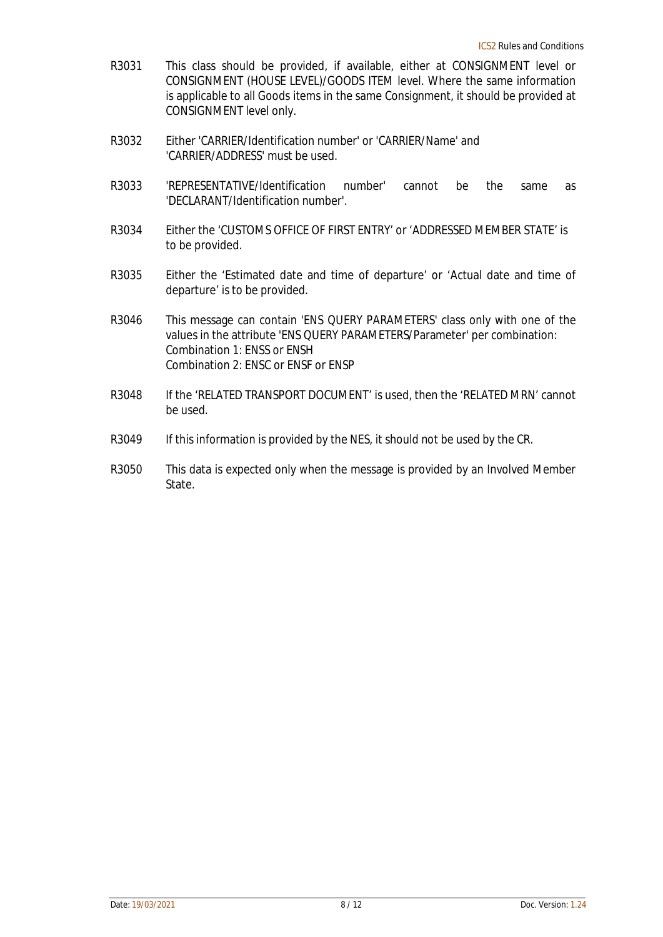- R3031 This class should be provided, if available, either at CONSIGNMENT level or CONSIGNMENT (HOUSE LEVEL)/GOODS ITEM level. Where the same information is applicable to all Goods items in the same Consignment, it should be provided at CONSIGNMENT level only.
- R3032 Either 'CARRIER/Identification number' or 'CARRIER/Name' and 'CARRIER/ADDRESS' must be used.
- R3033 'REPRESENTATIVE/Identification number' cannot be the same as 'DECLARANT/Identification number'.
- R3034 Either the 'CUSTOMS OFFICE OF FIRST ENTRY' or 'ADDRESSED MEMBER STATE' is to be provided.
- R3035 Either the 'Estimated date and time of departure' or 'Actual date and time of departure' is to be provided.
- R3046 This message can contain 'ENS QUERY PARAMETERS' class only with one of the values in the attribute 'ENS QUERY PARAMETERS/Parameter' per combination: Combination 1: ENSS or ENSH Combination 2: ENSC or ENSF or ENSP
- R3048 If the 'RELATED TRANSPORT DOCUMENT' is used, then the 'RELATED MRN' cannot be used.
- R3049 If this information is provided by the NES, it should not be used by the CR.
- R3050 This data is expected only when the message is provided by an Involved Member State.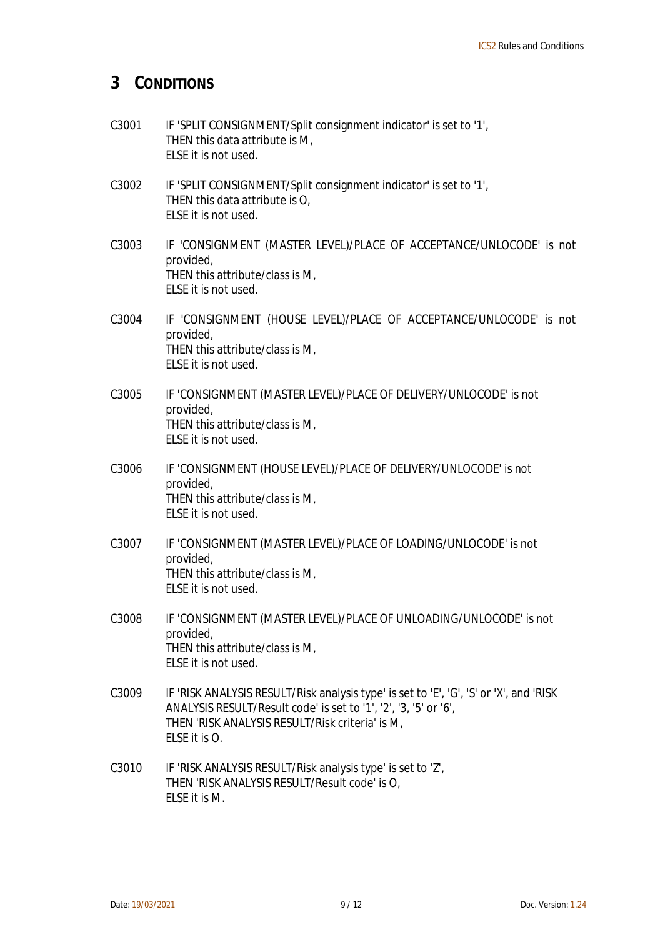#### **3 CONDITIONS**

- C3001 IF 'SPLIT CONSIGNMENT/Split consignment indicator' is set to '1', THEN this data attribute is M, ELSE it is not used.
- C3002 IF 'SPLIT CONSIGNMENT/Split consignment indicator' is set to '1', THEN this data attribute is O, ELSE it is not used.
- C3003 IF 'CONSIGNMENT (MASTER LEVEL)/PLACE OF ACCEPTANCE/UNLOCODE' is not provided, THEN this attribute/class is M, ELSE it is not used.
- C3004 IF 'CONSIGNMENT (HOUSE LEVEL)/PLACE OF ACCEPTANCE/UNLOCODE' is not provided, THEN this attribute/class is M, ELSE it is not used.
- C3005 IF 'CONSIGNMENT (MASTER LEVEL)/PLACE OF DELIVERY/UNLOCODE' is not provided, THEN this attribute/class is M, ELSE it is not used.
- C3006 IF 'CONSIGNMENT (HOUSE LEVEL)/PLACE OF DELIVERY/UNLOCODE' is not provided, THEN this attribute/class is M, ELSE it is not used.
- C3007 IF 'CONSIGNMENT (MASTER LEVEL)/PLACE OF LOADING/UNLOCODE' is not provided, THEN this attribute/class is M, ELSE it is not used.
- C3008 IF 'CONSIGNMENT (MASTER LEVEL)/PLACE OF UNLOADING/UNLOCODE' is not provided, THEN this attribute/class is M, ELSE it is not used.
- C3009 IF 'RISK ANALYSIS RESULT/Risk analysis type' is set to 'E', 'G', 'S' or 'X', and 'RISK ANALYSIS RESULT/Result code' is set to '1', '2', '3, '5' or '6', THEN 'RISK ANALYSIS RESULT/Risk criteria' is M, ELSE it is O.
- C3010 IF 'RISK ANALYSIS RESULT/Risk analysis type' is set to 'Z', THEN 'RISK ANALYSIS RESULT/Result code' is O, ELSE it is M.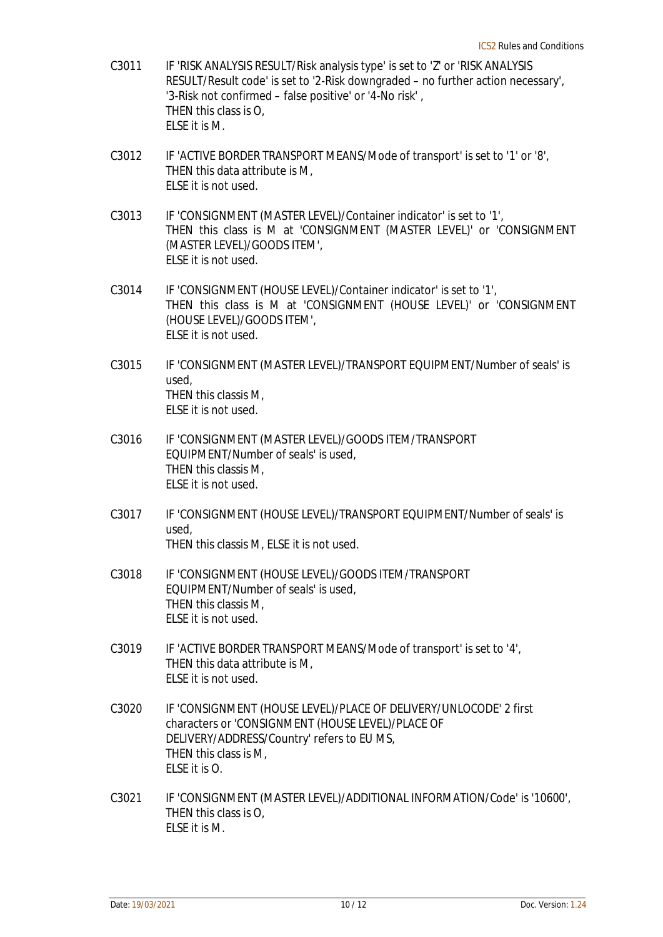- C3011 IF 'RISK ANALYSIS RESULT/Risk analysis type' is set to 'Z' or 'RISK ANALYSIS RESULT/Result code' is set to '2-Risk downgraded – no further action necessary', '3-Risk not confirmed – false positive' or '4-No risk' , THEN this class is O, ELSE it is M.
- C3012 IF 'ACTIVE BORDER TRANSPORT MEANS/Mode of transport' is set to '1' or '8', THEN this data attribute is M, ELSE it is not used.
- C3013 IF 'CONSIGNMENT (MASTER LEVEL)/Container indicator' is set to '1', THEN this class is M at 'CONSIGNMENT (MASTER LEVEL)' or 'CONSIGNMENT (MASTER LEVEL)/GOODS ITEM', ELSE it is not used.
- C3014 IF 'CONSIGNMENT (HOUSE LEVEL)/Container indicator' is set to '1', THEN this class is M at 'CONSIGNMENT (HOUSE LEVEL)' or 'CONSIGNMENT (HOUSE LEVEL)/GOODS ITEM', ELSE it is not used.
- C3015 IF 'CONSIGNMENT (MASTER LEVEL)/TRANSPORT EQUIPMENT/Number of seals' is used, THEN this classis M, ELSE it is not used.
- C3016 IF 'CONSIGNMENT (MASTER LEVEL)/GOODS ITEM/TRANSPORT EQUIPMENT/Number of seals' is used, THEN this classis M, ELSE it is not used.
- C3017 IF 'CONSIGNMENT (HOUSE LEVEL)/TRANSPORT EQUIPMENT/Number of seals' is used, THEN this classis M, ELSE it is not used.
- C3018 IF 'CONSIGNMENT (HOUSE LEVEL)/GOODS ITEM/TRANSPORT EQUIPMENT/Number of seals' is used, THEN this classis M, ELSE it is not used.
- C3019 IF 'ACTIVE BORDER TRANSPORT MEANS/Mode of transport' is set to '4', THEN this data attribute is M, ELSE it is not used.
- C3020 IF 'CONSIGNMENT (HOUSE LEVEL)/PLACE OF DELIVERY/UNLOCODE' 2 first characters or 'CONSIGNMENT (HOUSE LEVEL)/PLACE OF DELIVERY/ADDRESS/Country' refers to EU MS, THEN this class is M, ELSE it is O.
- C3021 IF 'CONSIGNMENT (MASTER LEVEL)/ADDITIONAL INFORMATION/Code' is '10600', THEN this class is O, ELSE it is M.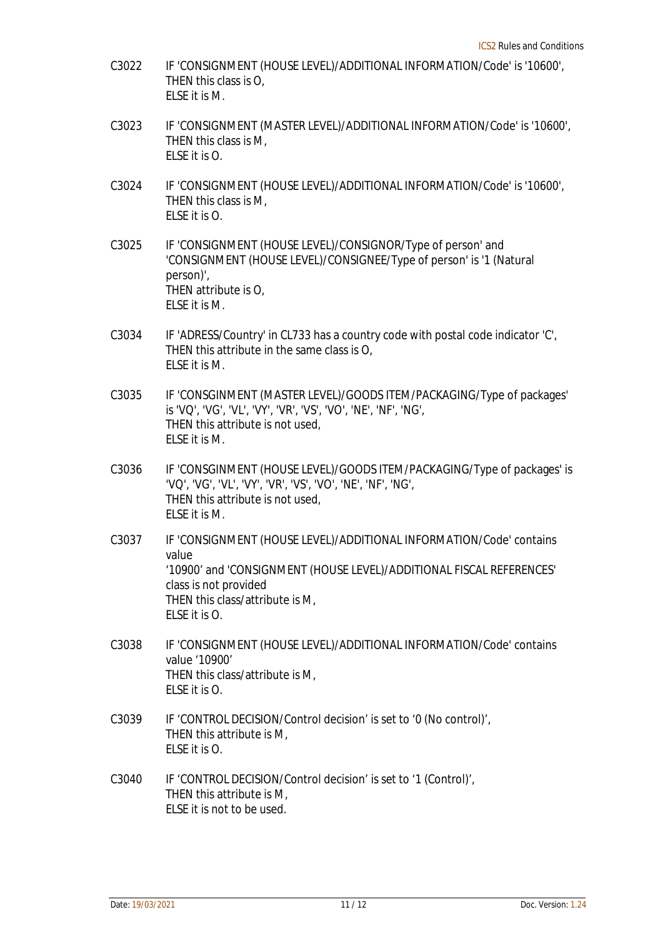- C3022 IF 'CONSIGNMENT (HOUSE LEVEL)/ADDITIONAL INFORMATION/Code' is '10600', THEN this class is O, ELSE it is M.
- C3023 IF 'CONSIGNMENT (MASTER LEVEL)/ADDITIONAL INFORMATION/Code' is '10600', THEN this class is M, ELSE it is O.
- C3024 IF 'CONSIGNMENT (HOUSE LEVEL)/ADDITIONAL INFORMATION/Code' is '10600', THEN this class is M, ELSE it is O.
- C3025 IF 'CONSIGNMENT (HOUSE LEVEL)/CONSIGNOR/Type of person' and 'CONSIGNMENT (HOUSE LEVEL)/CONSIGNEE/Type of person' is '1 (Natural person)', THEN attribute is O, ELSE it is M.
- C3034 IF 'ADRESS/Country' in CL733 has a country code with postal code indicator 'C', THEN this attribute in the same class is O, ELSE it is M.
- C3035 IF 'CONSGINMENT (MASTER LEVEL)/GOODS ITEM/PACKAGING/Type of packages' is 'VQ', 'VG', 'VL', 'VY', 'VR', 'VS', 'VO', 'NE', 'NF', 'NG', THEN this attribute is not used, ELSE it is M.
- C3036 IF 'CONSGINMENT (HOUSE LEVEL)/GOODS ITEM/PACKAGING/Type of packages' is 'VQ', 'VG', 'VL', 'VY', 'VR', 'VS', 'VO', 'NE', 'NF', 'NG', THEN this attribute is not used, ELSE it is M.
- C3037 IF 'CONSIGNMENT (HOUSE LEVEL)/ADDITIONAL INFORMATION/Code' contains value '10900' and 'CONSIGNMENT (HOUSE LEVEL)/ADDITIONAL FISCAL REFERENCES' class is not provided THEN this class/attribute is M, ELSE it is O.
- C3038 IF 'CONSIGNMENT (HOUSE LEVEL)/ADDITIONAL INFORMATION/Code' contains value '10900' THEN this class/attribute is M,  $E$  SF it is  $O$ .
- C3039 IF 'CONTROL DECISION/Control decision' is set to '0 (No control)', THEN this attribute is M, ELSE it is O.
- C3040 IF 'CONTROL DECISION/Control decision' is set to '1 (Control)', THEN this attribute is M, ELSE it is not to be used.